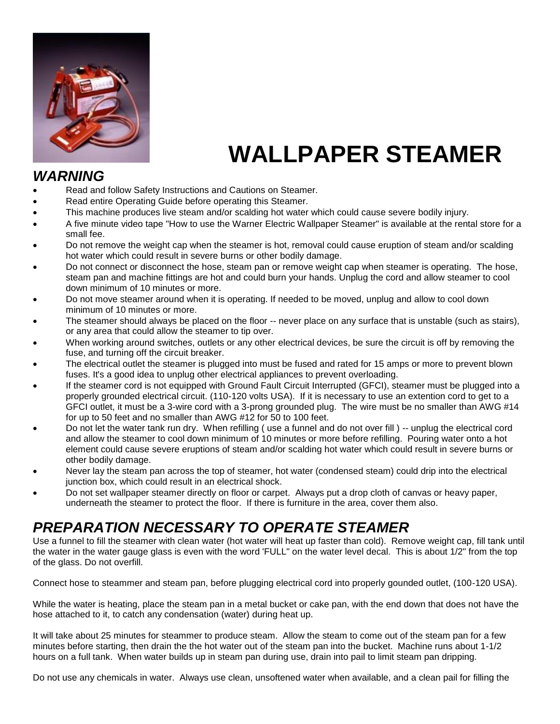

# **WALLPAPER STEAMER**

## *WARNING*

- Read and follow Safety Instructions and Cautions on Steamer.
- Read entire Operating Guide before operating this Steamer.
- This machine produces live steam and/or scalding hot water which could cause severe bodily injury.
- A five minute video tape "How to use the Warner Electric Wallpaper Steamer" is available at the rental store for a small fee.
- Do not remove the weight cap when the steamer is hot, removal could cause eruption of steam and/or scalding hot water which could result in severe burns or other bodily damage.
- Do not connect or disconnect the hose, steam pan or remove weight cap when steamer is operating. The hose, steam pan and machine fittings are hot and could burn your hands. Unplug the cord and allow steamer to cool down minimum of 10 minutes or more.
- Do not move steamer around when it is operating. If needed to be moved, unplug and allow to cool down minimum of 10 minutes or more.
- The steamer should always be placed on the floor -- never place on any surface that is unstable (such as stairs), or any area that could allow the steamer to tip over.
- When working around switches, outlets or any other electrical devices, be sure the circuit is off by removing the fuse, and turning off the circuit breaker.
- The electrical outlet the steamer is plugged into must be fused and rated for 15 amps or more to prevent blown fuses. It's a good idea to unplug other electrical appliances to prevent overloading.
- If the steamer cord is not equipped with Ground Fault Circuit Interrupted (GFCI), steamer must be plugged into a properly grounded electrical circuit. (110-120 volts USA). If it is necessary to use an extention cord to get to a GFCI outlet, it must be a 3-wire cord with a 3-prong grounded plug. The wire must be no smaller than AWG #14 for up to 50 feet and no smaller than AWG #12 for 50 to 100 feet.
- Do not let the water tank run dry. When refilling ( use a funnel and do not over fill ) -- unplug the electrical cord and allow the steamer to cool down minimum of 10 minutes or more before refilling. Pouring water onto a hot element could cause severe eruptions of steam and/or scalding hot water which could result in severe burns or other bodily damage.
- Never lay the steam pan across the top of steamer, hot water (condensed steam) could drip into the electrical junction box, which could result in an electrical shock.
- Do not set wallpaper steamer directly on floor or carpet. Always put a drop cloth of canvas or heavy paper, underneath the steamer to protect the floor. If there is furniture in the area, cover them also.

## *PREPARATION NECESSARY TO OPERATE STEAMER*

Use a funnel to fill the steamer with clean water (hot water will heat up faster than cold). Remove weight cap, fill tank until the water in the water gauge glass is even with the word 'FULL" on the water level decal. This is about 1/2" from the top of the glass. Do not overfill.

Connect hose to steammer and steam pan, before plugging electrical cord into properly gounded outlet, (100-120 USA).

While the water is heating, place the steam pan in a metal bucket or cake pan, with the end down that does not have the hose attached to it, to catch any condensation (water) during heat up.

It will take about 25 minutes for steammer to produce steam. Allow the steam to come out of the steam pan for a few minutes before starting, then drain the the hot water out of the steam pan into the bucket. Machine runs about 1-1/2 hours on a full tank. When water builds up in steam pan during use, drain into pail to limit steam pan dripping.

Do not use any chemicals in water. Always use clean, unsoftened water when available, and a clean pail for filling the